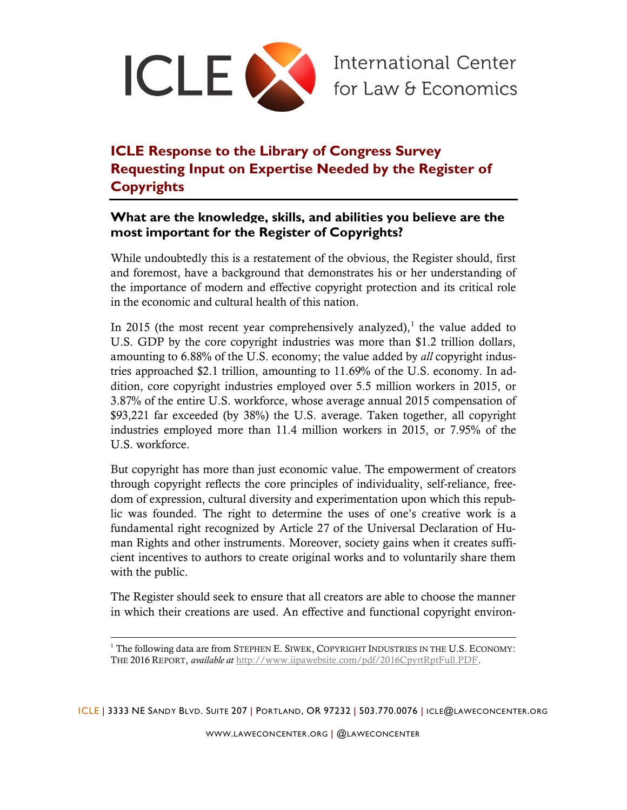

## **ICLE Response to the Library of Congress Survey Requesting Input on Expertise Needed by the Register of Copyrights**

## **What are the knowledge, skills, and abilities you believe are the most important for the Register of Copyrights?**

While undoubtedly this is a restatement of the obvious, the Register should, first and foremost, have a background that demonstrates his or her understanding of the importance of modern and effective copyright protection and its critical role in the economic and cultural health of this nation.

In 2015 (the most recent year comprehensively analyzed), $<sup>1</sup>$  the value added to</sup> U.S. GDP by the core copyright industries was more than \$1.2 trillion dollars, amounting to 6.88% of the U.S. economy; the value added by *all* copyright industries approached \$2.1 trillion, amounting to 11.69% of the U.S. economy. In addition, core copyright industries employed over 5.5 million workers in 2015, or 3.87% of the entire U.S. workforce, whose average annual 2015 compensation of \$93,221 far exceeded (by 38%) the U.S. average. Taken together, all copyright industries employed more than 11.4 million workers in 2015, or 7.95% of the U.S. workforce.

But copyright has more than just economic value. The empowerment of creators through copyright reflects the core principles of individuality, self-reliance, freedom of expression, cultural diversity and experimentation upon which this republic was founded. The right to determine the uses of one's creative work is a fundamental right recognized by Article 27 of the Universal Declaration of Human Rights and other instruments. Moreover, society gains when it creates sufficient incentives to authors to create original works and to voluntarily share them with the public.

The Register should seek to ensure that all creators are able to choose the manner in which their creations are used. An effective and functional copyright environ-

l

ICLE | 3333 NE SANDY BLVD. SUITE 207 | PORTLAND, OR 97232 | 503.770.0076 | ICLE@LAWECONCENTER.ORG

 $1$ <sup>1</sup> The following data are from STEPHEN E. SIWEK, COPYRIGHT INDUSTRIES IN THE U.S. ECONOMY: THE 2016 REPORT, *available at* [http://www.iipawebsite.com/pdf/2016CpyrtRptFull.PDF.](http://www.iipawebsite.com/pdf/2016CpyrtRptFull.PDF)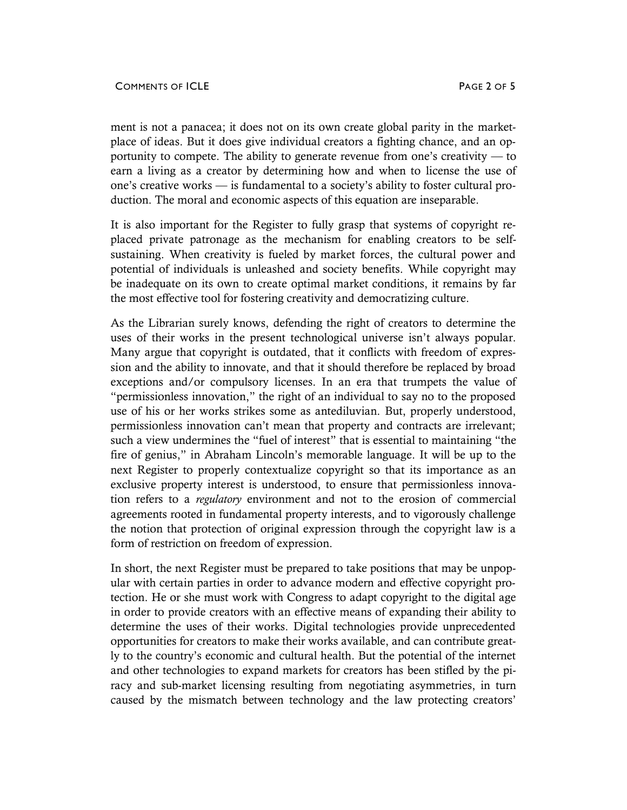ment is not a panacea; it does not on its own create global parity in the marketplace of ideas. But it does give individual creators a fighting chance, and an opportunity to compete. The ability to generate revenue from one's creativity — to earn a living as a creator by determining how and when to license the use of one's creative works — is fundamental to a society's ability to foster cultural production. The moral and economic aspects of this equation are inseparable.

It is also important for the Register to fully grasp that systems of copyright replaced private patronage as the mechanism for enabling creators to be selfsustaining. When creativity is fueled by market forces, the cultural power and potential of individuals is unleashed and society benefits. While copyright may be inadequate on its own to create optimal market conditions, it remains by far the most effective tool for fostering creativity and democratizing culture.

As the Librarian surely knows, defending the right of creators to determine the uses of their works in the present technological universe isn't always popular. Many argue that copyright is outdated, that it conflicts with freedom of expression and the ability to innovate, and that it should therefore be replaced by broad exceptions and/or compulsory licenses. In an era that trumpets the value of "permissionless innovation," the right of an individual to say no to the proposed use of his or her works strikes some as antediluvian. But, properly understood, permissionless innovation can't mean that property and contracts are irrelevant; such a view undermines the "fuel of interest" that is essential to maintaining "the fire of genius," in Abraham Lincoln's memorable language. It will be up to the next Register to properly contextualize copyright so that its importance as an exclusive property interest is understood, to ensure that permissionless innovation refers to a *regulatory* environment and not to the erosion of commercial agreements rooted in fundamental property interests, and to vigorously challenge the notion that protection of original expression through the copyright law is a form of restriction on freedom of expression.

In short, the next Register must be prepared to take positions that may be unpopular with certain parties in order to advance modern and effective copyright protection. He or she must work with Congress to adapt copyright to the digital age in order to provide creators with an effective means of expanding their ability to determine the uses of their works. Digital technologies provide unprecedented opportunities for creators to make their works available, and can contribute greatly to the country's economic and cultural health. But the potential of the internet and other technologies to expand markets for creators has been stifled by the piracy and sub-market licensing resulting from negotiating asymmetries, in turn caused by the mismatch between technology and the law protecting creators'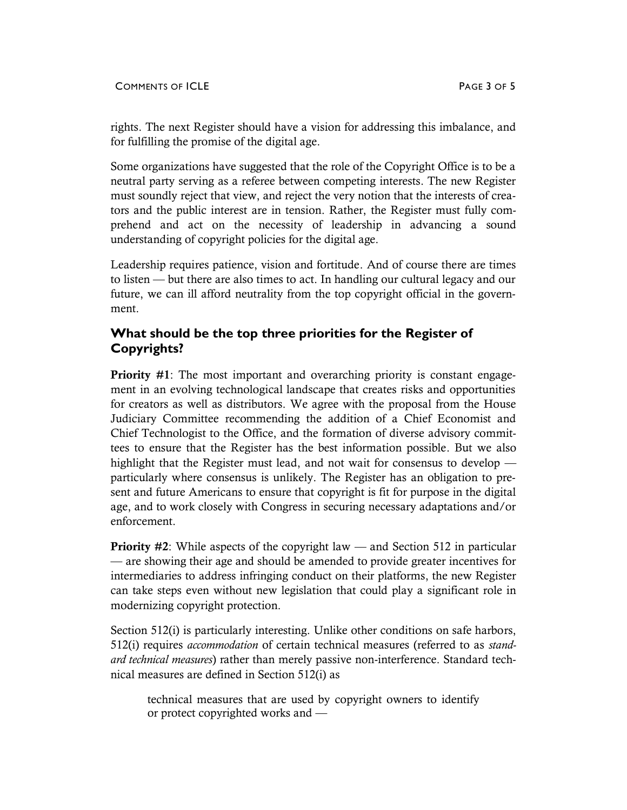rights. The next Register should have a vision for addressing this imbalance, and for fulfilling the promise of the digital age.

Some organizations have suggested that the role of the Copyright Office is to be a neutral party serving as a referee between competing interests. The new Register must soundly reject that view, and reject the very notion that the interests of creators and the public interest are in tension. Rather, the Register must fully comprehend and act on the necessity of leadership in advancing a sound understanding of copyright policies for the digital age.

Leadership requires patience, vision and fortitude. And of course there are times to listen — but there are also times to act. In handling our cultural legacy and our future, we can ill afford neutrality from the top copyright official in the government.

## **What should be the top three priorities for the Register of Copyrights?**

**Priority** #1: The most important and overarching priority is constant engagement in an evolving technological landscape that creates risks and opportunities for creators as well as distributors. We agree with the proposal from the House Judiciary Committee recommending the addition of a Chief Economist and Chief Technologist to the Office, and the formation of diverse advisory committees to ensure that the Register has the best information possible. But we also highlight that the Register must lead, and not wait for consensus to develop particularly where consensus is unlikely. The Register has an obligation to present and future Americans to ensure that copyright is fit for purpose in the digital age, and to work closely with Congress in securing necessary adaptations and/or enforcement.

**Priority #2:** While aspects of the copyright law — and Section 512 in particular — are showing their age and should be amended to provide greater incentives for intermediaries to address infringing conduct on their platforms, the new Register can take steps even without new legislation that could play a significant role in modernizing copyright protection.

Section 512(i) is particularly interesting. Unlike other conditions on safe harbors, 512(i) requires *accommodation* of certain technical measures (referred to as *standard technical measures*) rather than merely passive non-interference. Standard technical measures are defined in Section 512(i) as

technical measures that are used by copyright owners to identify or protect copyrighted works and —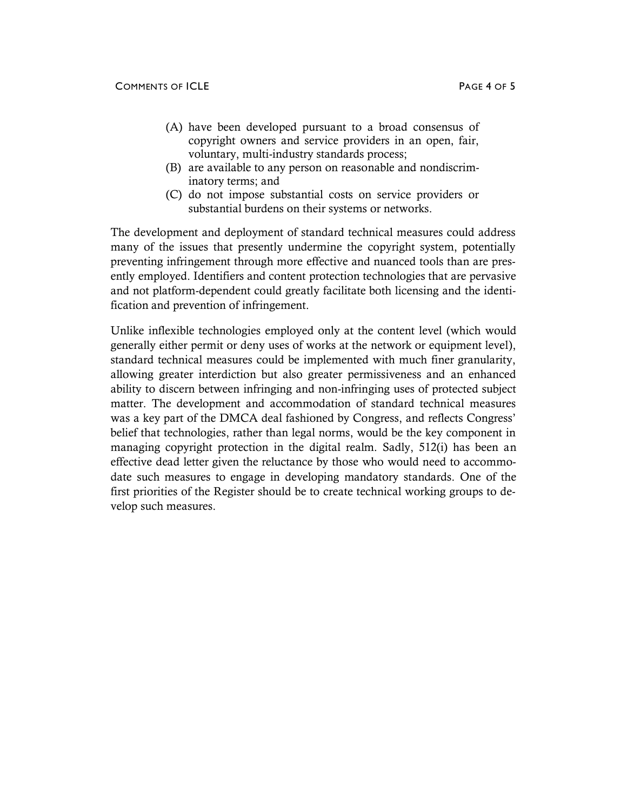- (A) have been developed pursuant to a broad consensus of copyright owners and service providers in an open, fair, voluntary, multi-industry standards process;
- (B) are available to any person on reasonable and nondiscriminatory terms; and
- (C) do not impose substantial costs on service providers or substantial burdens on their systems or networks.

The development and deployment of standard technical measures could address many of the issues that presently undermine the copyright system, potentially preventing infringement through more effective and nuanced tools than are presently employed. Identifiers and content protection technologies that are pervasive and not platform-dependent could greatly facilitate both licensing and the identification and prevention of infringement.

Unlike inflexible technologies employed only at the content level (which would generally either permit or deny uses of works at the network or equipment level), standard technical measures could be implemented with much finer granularity, allowing greater interdiction but also greater permissiveness and an enhanced ability to discern between infringing and non-infringing uses of protected subject matter. The development and accommodation of standard technical measures was a key part of the DMCA deal fashioned by Congress, and reflects Congress' belief that technologies, rather than legal norms, would be the key component in managing copyright protection in the digital realm. Sadly, 512(i) has been an effective dead letter given the reluctance by those who would need to accommodate such measures to engage in developing mandatory standards. One of the first priorities of the Register should be to create technical working groups to develop such measures.